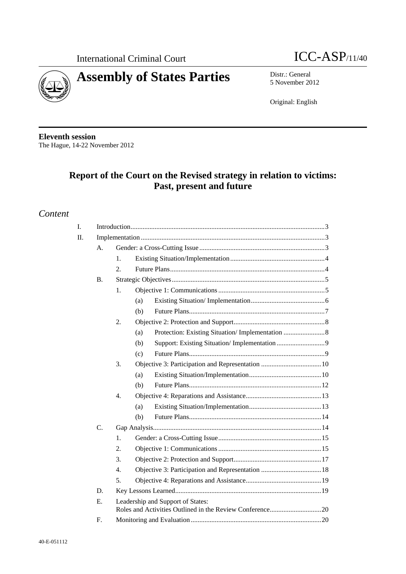



5 November 2012

Original: English

**Eleventh session**  The Hague, 14-22 November 2012

# **Report of the Court on the Revised strategy in relation to victims: Past, present and future**

## *Content*

| I.  |                 |                                   |     |  |  |
|-----|-----------------|-----------------------------------|-----|--|--|
| II. |                 |                                   |     |  |  |
|     | A.              |                                   |     |  |  |
|     |                 | 1.                                |     |  |  |
|     |                 | 2.                                |     |  |  |
|     | <b>B.</b>       |                                   |     |  |  |
|     |                 | 1.                                |     |  |  |
|     |                 |                                   | (a) |  |  |
|     |                 |                                   | (b) |  |  |
|     |                 | 2.                                |     |  |  |
|     |                 |                                   | (a) |  |  |
|     |                 |                                   | (b) |  |  |
|     |                 |                                   | (c) |  |  |
|     |                 | 3.                                |     |  |  |
|     |                 |                                   | (a) |  |  |
|     |                 |                                   | (b) |  |  |
|     |                 | $\overline{4}$ .                  |     |  |  |
|     |                 |                                   | (a) |  |  |
|     |                 |                                   | (b) |  |  |
|     | $\mathcal{C}$ . |                                   |     |  |  |
|     |                 | 1.                                |     |  |  |
|     |                 | $\overline{2}$ .                  |     |  |  |
|     |                 | 3.                                |     |  |  |
|     |                 | 4.                                |     |  |  |
|     |                 | 5.                                |     |  |  |
|     | D.              |                                   |     |  |  |
|     | Е.              | Leadership and Support of States: |     |  |  |
|     | F.              |                                   |     |  |  |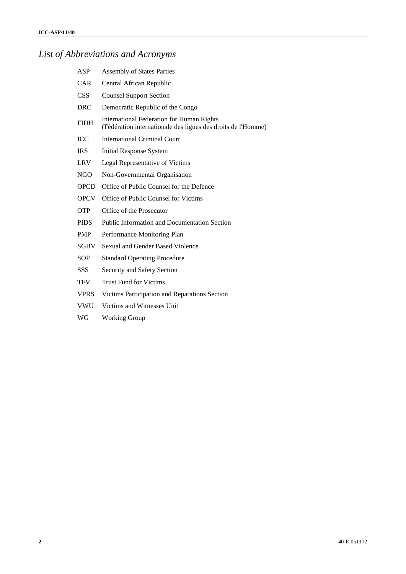## *List of Abbreviations and Acronyms*

- ASP Assembly of States Parties
- CAR Central African Republic
- CSS Counsel Support Section
- DRC Democratic Republic of the Congo
- FIDH International Federation for Human Rights (Fédération internationale des ligues des droits de l'Homme)
- ICC International Criminal Court
- IRS Initial Response System
- LRV Legal Representative of Victims
- NGO Non-Governmental Organisation
- OPCD Office of Public Counsel for the Defence
- OPCV Office of Public Counsel for Victims
- OTP Office of the Prosecutor
- PIDS Public Information and Documentation Section
- PMP Performance Monitoring Plan
- SGBV Sexual and Gender Based Violence
- SOP Standard Operating Procedure
- SSS Security and Safety Section
- TFV Trust Fund for Victims
- VPRS Victims Participation and Reparations Section
- VWU Victims and Witnesses Unit
- WG Working Group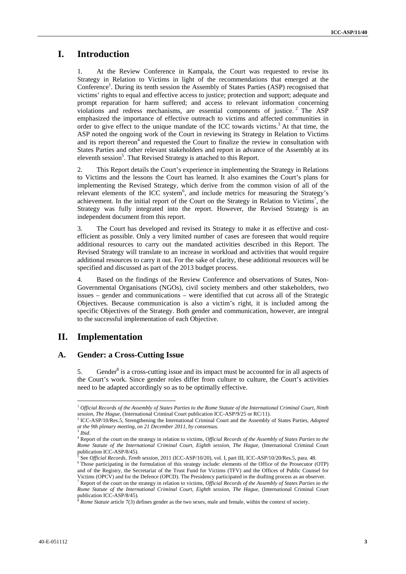## **I. Introduction**

1. At the Review Conference in Kampala, the Court was requested to revise its Strategy in Relation to Victims in light of the recommendations that emerged at the Conference<sup>1</sup>. During its tenth session the Assembly of States Parties (ASP) recognised that victims' rights to equal and effective access to justice; protection and support; adequate and prompt reparation for harm suffered; and access to relevant information concerning violations and redress mechanisms, are essential components of justice.<sup>2</sup> The ASP emphasized the importance of effective outreach to victims and affected communities in order to give effect to the unique mandate of the ICC towards victims.<sup>3</sup> At that time, the ASP noted the ongoing work of the Court in reviewing its Strategy in Relation to Victims and its report thereon<sup>4</sup> and requested the Court to finalize the review in consultation with States Parties and other relevant stakeholders and report in advance of the Assembly at its eleventh session<sup>5</sup>. That Revised Strategy is attached to this Report.

2. This Report details the Court's experience in implementing the Strategy in Relations to Victims and the lessons the Court has learned. It also examines the Court's plans for implementing the Revised Strategy, which derive from the common vision of all of the relevant elements of the ICC system<sup>6</sup>, and include metrics for measuring the Strategy's achievement. In the initial report of the Court on the Strategy in Relation to Victims<sup>7</sup>, the Strategy was fully integrated into the report. However, the Revised Strategy is an independent document from this report.

3. The Court has developed and revised its Strategy to make it as effective and costefficient as possible. Only a very limited number of cases are foreseen that would require additional resources to carry out the mandated activities described in this Report. The Revised Strategy will translate to an increase in workload and activities that would require additional resources to carry it out. For the sake of clarity, these additional resources will be specified and discussed as part of the 2013 budget process.

4. Based on the findings of the Review Conference and observations of States, Non-Governmental Organisations (NGOs), civil society members and other stakeholders, two issues – gender and communications – were identified that cut across all of the Strategic Objectives. Because communication is also a victim's right, it is included among the specific Objectives of the Strategy. Both gender and communication, however, are integral to the successful implementation of each Objective.

## **II. Implementation**

#### **A. Gender: a Cross-Cutting Issue**

5. Gender<sup>8</sup> is a cross-cutting issue and its impact must be accounted for in all aspects of the Court's work. Since gender roles differ from culture to culture, the Court's activities need to be adapted accordingly so as to be optimally effective.

<sup>1</sup> *Official Records of the Assembly of States Parties to the Rome Statute of the International Criminal Court, Ninth*  session, The Hague, (International Criminal Court publication ICC-ASP/9/25 or RC/11).<br><sup>2</sup> ICC-ASP/10/Res.5, Strengthening the International Criminal Court and the Assembly of States Parties, *Adopted* 

*at the 9th plenary meeting, on 21 December 2011, by consensus.*

<sup>3</sup> *Ibid*.

<sup>4</sup> Report of the court on the strategy in relation to victims, *Official Records of the Assembly of States Parties to the*  Rome Statute of the International Criminal Court, Eighth session, The Hague, (International Criminal Court publication ICC-ASP/8/45).

<sup>5</sup> See *Official Records, Tenth session, 2011* (ICC-ASP/10/20), vol. I, part III, ICC-ASP/10/20/Res.5, para. 48.

 $6$  Those participating in the formulation of this strategy include: elements of the Office of the Prosecutor (OTP) and of the Registry, the Secretariat of the Trust Fund for Victims (TFV) and the Offices of Public Counsel for Victims (OPCV) and for the Defence (OPCD). The Presidency participated in the drafting process as an observer. 7 Report of the court on the strategy in relation to victims, *Official Records of the Assembly of States Parties to the Rome Statute of the International Criminal Court, Eighth session, The Hague,* (International Criminal Court publication ICC-ASP/8/45).

<sup>8</sup> *Rome Statute* article 7(3) defines gender as the two sexes, male and female, within the context of society.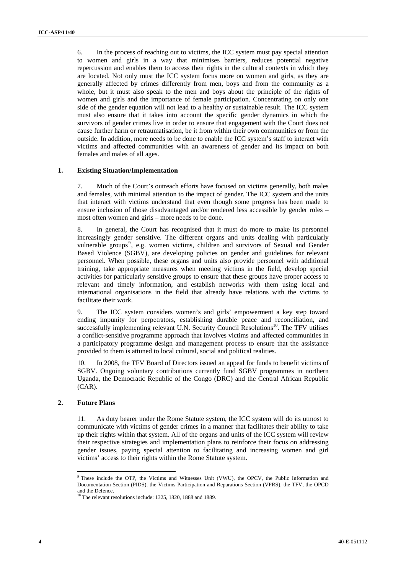6. In the process of reaching out to victims, the ICC system must pay special attention to women and girls in a way that minimises barriers, reduces potential negative repercussion and enables them to access their rights in the cultural contexts in which they are located. Not only must the ICC system focus more on women and girls, as they are generally affected by crimes differently from men, boys and from the community as a whole, but it must also speak to the men and boys about the principle of the rights of women and girls and the importance of female participation. Concentrating on only one side of the gender equation will not lead to a healthy or sustainable result. The ICC system must also ensure that it takes into account the specific gender dynamics in which the survivors of gender crimes live in order to ensure that engagement with the Court does not cause further harm or retraumatisation, be it from within their own communities or from the outside. In addition, more needs to be done to enable the ICC system's staff to interact with victims and affected communities with an awareness of gender and its impact on both females and males of all ages.

#### **1. Existing Situation/Implementation**

7. Much of the Court's outreach efforts have focused on victims generally, both males and females, with minimal attention to the impact of gender. The ICC system and the units that interact with victims understand that even though some progress has been made to ensure inclusion of those disadvantaged and/or rendered less accessible by gender roles – most often women and girls – more needs to be done.

8. In general, the Court has recognised that it must do more to make its personnel increasingly gender sensitive. The different organs and units dealing with particularly vulnerable groups<sup>9</sup>, e.g. women victims, children and survivors of Sexual and Gender Based Violence (SGBV), are developing policies on gender and guidelines for relevant personnel. When possible, these organs and units also provide personnel with additional training, take appropriate measures when meeting victims in the field, develop special activities for particularly sensitive groups to ensure that these groups have proper access to relevant and timely information, and establish networks with them using local and international organisations in the field that already have relations with the victims to facilitate their work.

9. The ICC system considers women's and girls' empowerment a key step toward ending impunity for perpetrators, establishing durable peace and reconciliation, and successfully implementing relevant U.N. Security Council Resolutions<sup>10</sup>. The TFV utilises a conflict-sensitive programme approach that involves victims and affected communities in a participatory programme design and management process to ensure that the assistance provided to them is attuned to local cultural, social and political realities.

10. In 2008, the TFV Board of Directors issued an appeal for funds to benefit victims of SGBV. Ongoing voluntary contributions currently fund SGBV programmes in northern Uganda, the Democratic Republic of the Congo (DRC) and the Central African Republic (CAR).

#### **2. Future Plans**

 $\overline{a}$ 

11. As duty bearer under the Rome Statute system, the ICC system will do its utmost to communicate with victims of gender crimes in a manner that facilitates their ability to take up their rights within that system. All of the organs and units of the ICC system will review their respective strategies and implementation plans to reinforce their focus on addressing gender issues, paying special attention to facilitating and increasing women and girl victims' access to their rights within the Rome Statute system.

<sup>&</sup>lt;sup>9</sup> These include the OTP, the Victims and Witnesses Unit (VWU), the OPCV, the Public Information and Documentation Section (PIDS), the Victims Participation and Reparations Section (VPRS), the TFV, the OPCD and the Defence.

 $10$  The relevant resolutions include: 1325, 1820, 1888 and 1889.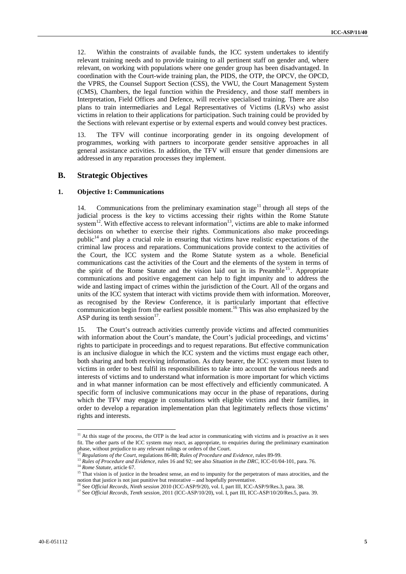12. Within the constraints of available funds, the ICC system undertakes to identify relevant training needs and to provide training to all pertinent staff on gender and, where relevant, on working with populations where one gender group has been disadvantaged. In coordination with the Court-wide training plan, the PIDS, the OTP, the OPCV, the OPCD, the VPRS, the Counsel Support Section (CSS), the VWU, the Court Management System (CMS), Chambers, the legal function within the Presidency, and those staff members in Interpretation, Field Offices and Defence, will receive specialised training. There are also plans to train intermediaries and Legal Representatives of Victims (LRVs) who assist victims in relation to their applications for participation. Such training could be provided by the Sections with relevant expertise or by external experts and would convey best practices.

13. The TFV will continue incorporating gender in its ongoing development of programmes, working with partners to incorporate gender sensitive approaches in all general assistance activities. In addition, the TFV will ensure that gender dimensions are addressed in any reparation processes they implement.

### **B. Strategic Objectives**

#### **1. Objective 1: Communications**

14. Communications from the preliminary examination stage<sup>11</sup> through all steps of the judicial process is the key to victims accessing their rights within the Rome Statute system<sup>12</sup>. With effective access to relevant information<sup>13</sup>, victims are able to make informed decisions on whether to exercise their rights. Communications also make proceedings public<sup>14</sup> and play a crucial role in ensuring that victims have realistic expectations of the criminal law process and reparations. Communications provide context to the activities of the Court, the ICC system and the Rome Statute system as a whole. Beneficial communications cast the activities of the Court and the elements of the system in terms of the spirit of the Rome Statute and the vision laid out in its Preamble  $15$ . Appropriate communications and positive engagement can help to fight impunity and to address the wide and lasting impact of crimes within the jurisdiction of the Court. All of the organs and units of the ICC system that interact with victims provide them with information. Moreover, as recognised by the Review Conference, it is particularly important that effective communication begin from the earliest possible moment.<sup>16</sup> This was also emphasized by the ASP during its tenth session $^{17}$ .

15. The Court's outreach activities currently provide victims and affected communities with information about the Court's mandate, the Court's judicial proceedings, and victims' rights to participate in proceedings and to request reparations. But effective communication is an inclusive dialogue in which the ICC system and the victims must engage each other, both sharing and both receiving information. As duty bearer, the ICC system must listen to victims in order to best fulfil its responsibilities to take into account the various needs and interests of victims and to understand what information is more important for which victims and in what manner information can be most effectively and efficiently communicated. A specific form of inclusive communications may occur in the phase of reparations, during which the TFV may engage in consultations with eligible victims and their families, in order to develop a reparation implementation plan that legitimately reflects those victims' rights and interests.

 $11$  At this stage of the process, the OTP is the lead actor in communicating with victims and is proactive as it sees fit. The other parts of the ICC system may react, as appropriate, to enquiries during the preliminary examination phase, without prejudice to any relevant rulings or orders of the Court.

<sup>&</sup>lt;sup>12</sup> Regulations of the Court, regulations 86-88; Rules of Procedure and Evidence, rules 89-99.<br><sup>13</sup> Rules of Procedure and Evidence, rules 16 and 92; see also Situation in the DRC, ICC-01/04-101, para. 76.<br><sup>14</sup> Rome Stat

notion that justice is not just punitive but restorative – and hopefully preventative.<br><sup>16</sup> See *Official Records, Ninth session* 2010 (ICC-ASP/9/20), vol. I, part III, ICC-ASP/9/Res.3, para. 38.<br><sup>17</sup> See *Official Records*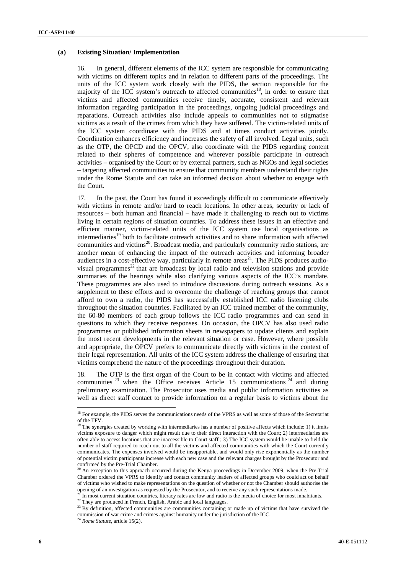#### **(a) Existing Situation/ Implementation**

16. In general, different elements of the ICC system are responsible for communicating with victims on different topics and in relation to different parts of the proceedings. The units of the ICC system work closely with the PIDS, the section responsible for the majority of the ICC system's outreach to affected communities<sup>18</sup>, in order to ensure that victims and affected communities receive timely, accurate, consistent and relevant information regarding participation in the proceedings, ongoing judicial proceedings and reparations. Outreach activities also include appeals to communities not to stigmatise victims as a result of the crimes from which they have suffered. The victim-related units of the ICC system coordinate with the PIDS and at times conduct activities jointly. Coordination enhances efficiency and increases the safety of all involved. Legal units, such as the OTP, the OPCD and the OPCV, also coordinate with the PIDS regarding content related to their spheres of competence and wherever possible participate in outreach activities – organised by the Court or by external partners, such as NGOs and legal societies – targeting affected communities to ensure that community members understand their rights under the Rome Statute and can take an informed decision about whether to engage with the Court.

17. In the past, the Court has found it exceedingly difficult to communicate effectively with victims in remote and/or hard to reach locations. In other areas, security or lack of resources – both human and financial – have made it challenging to reach out to victims living in certain regions of situation countries. To address these issues in an effective and efficient manner, victim-related units of the ICC system use local organisations as intermediaries<sup>19</sup> both to facilitate outreach activities and to share information with affected communities and victims<sup>20</sup>. Broadcast media, and particularly community radio stations, are another mean of enhancing the impact of the outreach activities and informing broader audiences in a cost-effective way, particularly in remote areas<sup>21</sup>. The PIDS produces audiovisual programmes<sup>22</sup> that are broadcast by local radio and television stations and provide summaries of the hearings while also clarifying various aspects of the ICC's mandate. These programmes are also used to introduce discussions during outreach sessions. As a supplement to these efforts and to overcome the challenge of reaching groups that cannot afford to own a radio, the PIDS has successfully established ICC radio listening clubs throughout the situation countries. Facilitated by an ICC trained member of the community, the 60-80 members of each group follows the ICC radio programmes and can send in questions to which they receive responses. On occasion, the OPCV has also used radio programmes or published information sheets in newspapers to update clients and explain the most recent developments in the relevant situation or case. However, where possible and appropriate, the OPCV prefers to communicate directly with victims in the context of their legal representation. All units of the ICC system address the challenge of ensuring that victims comprehend the nature of the proceedings throughout their duration.

18. The OTP is the first organ of the Court to be in contact with victims and affected communities  $^{23}$  when the Office receives Article 15 communications  $^{24}$  and during preliminary examination. The Prosecutor uses media and public information activities as well as direct staff contact to provide information on a regular basis to victims about the

 $2^{\circ}$  In most current situation countries, literacy rates are low and radio is the media of choice for most inhabitants.<br><sup>22</sup> They are produced in French, English, Arabic and local languages.

<sup>&</sup>lt;sup>18</sup> For example, the PIDS serves the communications needs of the VPRS as well as some of those of the Secretariat of the TFV.

 $19$  The synergies created by working with intermediaries has a number of positive affects which include: 1) it limits victims exposure to danger which might result due to their direct interaction with the Court; 2) intermediaries are often able to access locations that are inaccessible to Court staff ; 3) The ICC system would be unable to field the number of staff required to reach out to all the victims and affected communities with which the Court currently communicates. The expenses involved would be insupportable, and would only rise exponentially as the number of potential victim participants increase with each new case and the relevant charges brought by the Prosecutor and confirmed by the Pre-Trial Chamber.

<sup>20</sup> An exception to this approach occurred during the Kenya proceedings in December 2009, when the Pre-Trial Chamber ordered the VPRS to identify and contact community leaders of affected groups who could act on behalf of victims who wished to make representations on the question of whether or not the Chamber should authorise the

<sup>&</sup>lt;sup>23</sup> By definition, affected communities are communities containing or made up of victims that have survived the commission of war crime and crimes against humanity under the jurisdiction of the ICC. 24 *Rome Statute*, article 15(2).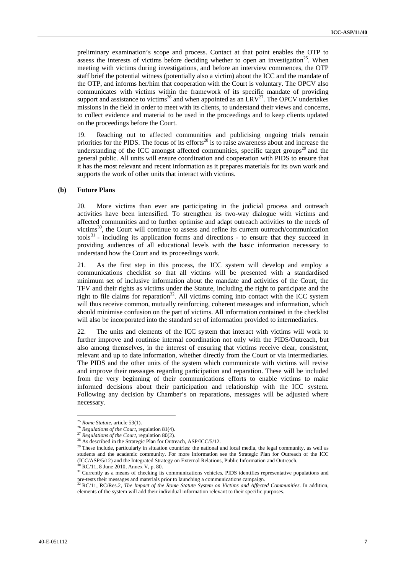preliminary examination's scope and process. Contact at that point enables the OTP to assess the interests of victims before deciding whether to open an investigation<sup>25</sup>. When meeting with victims during investigations, and before an interview commences, the OTP staff brief the potential witness (potentially also a victim) about the ICC and the mandate of the OTP, and informs her/him that cooperation with the Court is voluntary. The OPCV also communicates with victims within the framework of its specific mandate of providing support and assistance to victims<sup>26</sup> and when appointed as an  $LRV^{27}$ . The OPCV undertakes missions in the field in order to meet with its clients, to understand their views and concerns, to collect evidence and material to be used in the proceedings and to keep clients updated on the proceedings before the Court.

19. Reaching out to affected communities and publicising ongoing trials remain priorities for the PIDS. The focus of its efforts<sup>28</sup> is to raise awareness about and increase the understanding of the ICC amongst affected communities, specific target groups<sup>29</sup> and the general public. All units will ensure coordination and cooperation with PIDS to ensure that it has the most relevant and recent information as it prepares materials for its own work and supports the work of other units that interact with victims.

#### **(b) Future Plans**

20. More victims than ever are participating in the judicial process and outreach activities have been intensified. To strengthen its two-way dialogue with victims and affected communities and to further optimise and adapt outreach activities to the needs of victims<sup>30</sup>, the Court will continue to assess and refine its current outreach/communication tools<sup>31</sup> - including its application forms and directions - to ensure that they succeed in providing audiences of all educational levels with the basic information necessary to understand how the Court and its proceedings work.

21. As the first step in this process, the ICC system will develop and employ a communications checklist so that all victims will be presented with a standardised minimum set of inclusive information about the mandate and activities of the Court, the TFV and their rights as victims under the Statute, including the right to participate and the right to file claims for reparation<sup>32</sup>. All victims coming into contact with the ICC system will thus receive common, mutually reinforcing, coherent messages and information, which should minimise confusion on the part of victims. All information contained in the checklist will also be incorporated into the standard set of information provided to intermediaries.

22. The units and elements of the ICC system that interact with victims will work to further improve and routinise internal coordination not only with the PIDS/Outreach, but also among themselves, in the interest of ensuring that victims receive clear, consistent, relevant and up to date information, whether directly from the Court or via intermediaries. The PIDS and the other units of the system which communicate with victims will revise and improve their messages regarding participation and reparation. These will be included from the very beginning of their communications efforts to enable victims to make informed decisions about their participation and relationship with the ICC system. Following any decision by Chamber's on reparations, messages will be adjusted where necessary.

 $25$  Rome Statute, article 53(1).

<sup>&</sup>lt;sup>26</sup> *Regulations of the Court*, regulation 81(4).<br><sup>27</sup> *Regulations of the Court*, regulation 80(2).<br><sup>28</sup> As described in the Strategic Plan for Outreach, ASP/ICC/5/12.

 $29$  These include, particularly in situation countries: the national and local media, the legal community, as well as students and the academic community. For more information see the Strategic Plan for Outreach of the ICC (ICC/ASP/5/12) and the Integrated Strategy on External Relations, Public Information and Outreach.  $^{30}$  RC/11, 8 June 2010, Annex V, p. 80.

<sup>&</sup>lt;sup>31</sup> Currently as a means of checking its communications vehicles, PIDS identifies representative populations and pre-tests their messages and materials prior to launching a communications campaign.<br><sup>32</sup> RC/11, RC/Res.2, *The Impact of the Rome Statute System on Victims and Affected Communities*. In addition,

elements of the system will add their individual information relevant to their specific purposes.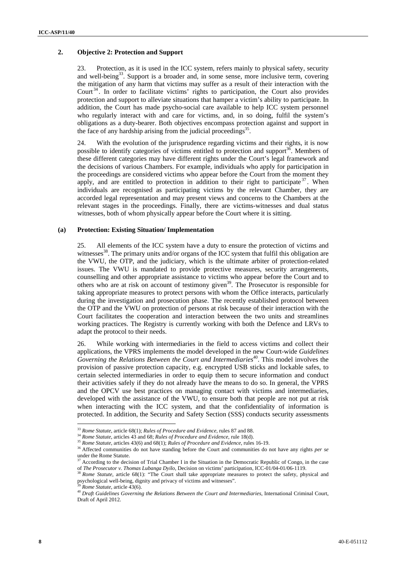#### **2. Objective 2: Protection and Support**

23. Protection, as it is used in the ICC system, refers mainly to physical safety, security and well-being<sup>33</sup>. Support is a broader and, in some sense, more inclusive term, covering the mitigation of any harm that victims may suffer as a result of their interaction with the Court<sup>34</sup>. In order to facilitate victims' rights to participation, the Court also provides protection and support to alleviate situations that hamper a victim's ability to participate. In addition, the Court has made psycho-social care available to help ICC system personnel who regularly interact with and care for victims, and, in so doing, fulfil the system's obligations as a duty-bearer. Both objectives encompass protection against and support in the face of any hardship arising from the judicial proceedings<sup>35</sup>.

24. With the evolution of the jurisprudence regarding victims and their rights, it is now possible to identify categories of victims entitled to protection and support<sup>36</sup>. Members of these different categories may have different rights under the Court's legal framework and the decisions of various Chambers. For example, individuals who apply for participation in the proceedings are considered victims who appear before the Court from the moment they apply, and are entitled to protection in addition to their right to participate<sup>37</sup>. When individuals are recognised as participating victims by the relevant Chamber, they are accorded legal representation and may present views and concerns to the Chambers at the relevant stages in the proceedings. Finally, there are victims-witnesses and dual status witnesses, both of whom physically appear before the Court where it is sitting.

#### **(a) Protection: Existing Situation/ Implementation**

25. All elements of the ICC system have a duty to ensure the protection of victims and witnesses $38$ . The primary units and/or organs of the ICC system that fulfil this obligation are the VWU, the OTP, and the judiciary, which is the ultimate arbiter of protection-related issues. The VWU is mandated to provide protective measures, security arrangements, counselling and other appropriate assistance to victims who appear before the Court and to others who are at risk on account of testimony given<sup>39</sup>. The Prosecutor is responsible for taking appropriate measures to protect persons with whom the Office interacts, particularly during the investigation and prosecution phase. The recently established protocol between the OTP and the VWU on protection of persons at risk because of their interaction with the Court facilitates the cooperation and interaction between the two units and streamlines working practices. The Registry is currently working with both the Defence and LRVs to adapt the protocol to their needs.

26. While working with intermediaries in the field to access victims and collect their applications, the VPRS implements the model developed in the new Court-wide *Guidelines Governing the Relations Between the Court and Intermediaries*40. This model involves the provision of passive protection capacity, e.g. encrypted USB sticks and lockable safes, to certain selected intermediaries in order to equip them to secure information and conduct their activities safely if they do not already have the means to do so. In general, the VPRS and the OPCV use best practices on managing contact with victims and intermediaries, developed with the assistance of the VWU, to ensure both that people are not put at risk when interacting with the ICC system, and that the confidentiality of information is protected. In addition, the Security and Safety Section (SSS) conducts security assessments

<sup>&</sup>lt;sup>33</sup> Rome Statute, article 68(1); Rules of Procedure and Evidence, rules 87 and 88.

<sup>&</sup>lt;sup>34</sup> *Rome Statute*, articles 43 and 68; *Rules of Procedure and Evidence*, rule 18(d).<br><sup>35</sup> *Rome Statute*, articles 43(6) and 68(1); *Rules of Procedure and Evidence*, rules 16-19.

<sup>&</sup>lt;sup>36</sup> Affected communities do not have standing before the Court and communities do not have any rights *per se* under the Rome Statute.

<sup>&</sup>lt;sup>37</sup> According to the decision of Trial Chamber I in the Situation in the Democratic Republic of Congo, in the case

of *The Prosecutor v. Thomas Lubanga Dyilo*, Decision on victims' participation, ICC-01/04-01/06-1119.<br><sup>38</sup> *Rome Statute*, article 68(1): "The Court shall take appropriate measures to protect the safety, physical and psyc

<sup>&</sup>lt;sup>39</sup> Rome Statute, article 43(6).<br><sup>40</sup> Draft Guidelines Governing the Relations Between the Court and Intermediaries, International Criminal Court, Draft of April 2012.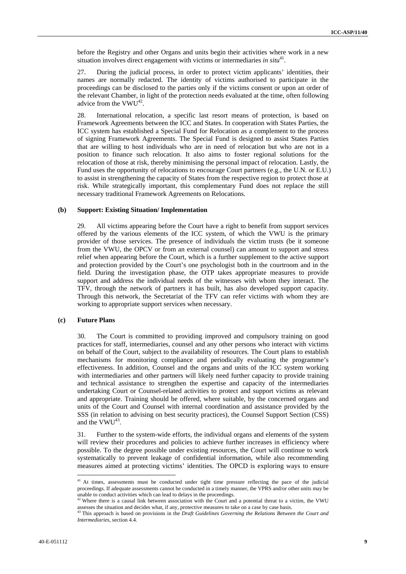before the Registry and other Organs and units begin their activities where work in a new situation involves direct engagement with victims or intermediaries *in situ*<sup>41</sup>.

27. During the judicial process, in order to protect victim applicants' identities, their names are normally redacted. The identity of victims authorised to participate in the proceedings can be disclosed to the parties only if the victims consent or upon an order of the relevant Chamber, in light of the protection needs evaluated at the time, often following advice from the  $VWU^{42}$ .

28. International relocation, a specific last resort means of protection, is based on Framework Agreements between the ICC and States. In cooperation with States Parties, the ICC system has established a Special Fund for Relocation as a complement to the process of signing Framework Agreements. The Special Fund is designed to assist States Parties that are willing to host individuals who are in need of relocation but who are not in a position to finance such relocation. It also aims to foster regional solutions for the relocation of those at risk, thereby minimising the personal impact of relocation. Lastly, the Fund uses the opportunity of relocations to encourage Court partners (e.g., the U.N. or E.U.) to assist in strengthening the capacity of States from the respective region to protect those at risk. While strategically important, this complementary Fund does not replace the still necessary traditional Framework Agreements on Relocations.

#### **(b) Support: Existing Situation/ Implementation**

29. All victims appearing before the Court have a right to benefit from support services offered by the various elements of the ICC system, of which the VWU is the primary provider of those services. The presence of individuals the victim trusts (be it someone from the VWU, the OPCV or from an external counsel) can amount to support and stress relief when appearing before the Court, which is a further supplement to the active support and protection provided by the Court's one psychologist both in the courtroom and in the field. During the investigation phase, the OTP takes appropriate measures to provide support and address the individual needs of the witnesses with whom they interact. The TFV, through the network of partners it has built, has also developed support capacity. Through this network, the Secretariat of the TFV can refer victims with whom they are working to appropriate support services when necessary.

#### **(c) Future Plans**

30. The Court is committed to providing improved and compulsory training on good practices for staff, intermediaries, counsel and any other persons who interact with victims on behalf of the Court, subject to the availability of resources. The Court plans to establish mechanisms for monitoring compliance and periodically evaluating the programme's effectiveness. In addition, Counsel and the organs and units of the ICC system working with intermediaries and other partners will likely need further capacity to provide training and technical assistance to strengthen the expertise and capacity of the intermediaries undertaking Court or Counsel-related activities to protect and support victims as relevant and appropriate. Training should be offered, where suitable, by the concerned organs and units of the Court and Counsel with internal coordination and assistance provided by the SSS (in relation to advising on best security practices), the Counsel Support Section (CSS) and the  $VWU^{43}$ .

31. Further to the system-wide efforts, the individual organs and elements of the system will review their procedures and policies to achieve further increases in efficiency where possible. To the degree possible under existing resources, the Court will continue to work systematically to prevent leakage of confidential information, while also recommending measures aimed at protecting victims' identities. The OPCD is exploring ways to ensure

 $41$  At times, assessments must be conducted under tight time pressure reflecting the pace of the judicial proceedings. If adequate assessments cannot be conducted in a timely manner, the VPRS and/or other units may be unable to conduct activities which can lead to delays in the proceedings.<br><sup>42</sup> Where there is a causal link between association with the Court and a potential threat to a victim, the VWU

assesses the situation and decides what, if any, protective measures to take on a case by case basis. 43 This approach is based on provisions in the *Draft Guidelines Governing the Relations Between the Court and* 

*Intermediaries*, section 4.4.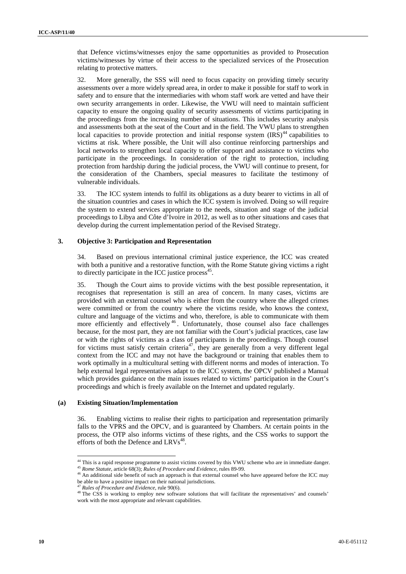that Defence victims/witnesses enjoy the same opportunities as provided to Prosecution victims/witnesses by virtue of their access to the specialized services of the Prosecution relating to protective matters.

32. More generally, the SSS will need to focus capacity on providing timely security assessments over a more widely spread area, in order to make it possible for staff to work in safety and to ensure that the intermediaries with whom staff work are vetted and have their own security arrangements in order. Likewise, the VWU will need to maintain sufficient capacity to ensure the ongoing quality of security assessments of victims participating in the proceedings from the increasing number of situations. This includes security analysis and assessments both at the seat of the Court and in the field. The VWU plans to strengthen local capacities to provide protection and initial response system  $\left(\text{IRS}\right)^{44}$  capabilities to victims at risk. Where possible, the Unit will also continue reinforcing partnerships and local networks to strengthen local capacity to offer support and assistance to victims who participate in the proceedings. In consideration of the right to protection, including protection from hardship during the judicial process, the VWU will continue to present, for the consideration of the Chambers, special measures to facilitate the testimony of vulnerable individuals.

33. The ICC system intends to fulfil its obligations as a duty bearer to victims in all of the situation countries and cases in which the ICC system is involved. Doing so will require the system to extend services appropriate to the needs, situation and stage of the judicial proceedings to Libya and Côte d'Ivoire in 2012, as well as to other situations and cases that develop during the current implementation period of the Revised Strategy.

#### **3. Objective 3: Participation and Representation**

34. Based on previous international criminal justice experience, the ICC was created with both a punitive and a restorative function, with the Rome Statute giving victims a right to directly participate in the ICC justice process $45$ .

35. Though the Court aims to provide victims with the best possible representation, it recognises that representation is still an area of concern. In many cases, victims are provided with an external counsel who is either from the country where the alleged crimes were committed or from the country where the victims reside, who knows the context, culture and language of the victims and who, therefore, is able to communicate with them more efficiently and effectively  $46$ . Unfortunately, those counsel also face challenges because, for the most part, they are not familiar with the Court's judicial practices, case law or with the rights of victims as a class of participants in the proceedings. Though counsel for victims must satisfy certain criteria<sup>47</sup>, they are generally from a very different legal context from the ICC and may not have the background or training that enables them to work optimally in a multicultural setting with different norms and modes of interaction. To help external legal representatives adapt to the ICC system, the OPCV published a Manual which provides guidance on the main issues related to victims' participation in the Court's proceedings and which is freely available on the Internet and updated regularly.

#### **(a) Existing Situation/Implementation**

 $\overline{a}$ 

36. Enabling victims to realise their rights to participation and representation primarily falls to the VPRS and the OPCV, and is guaranteed by Chambers. At certain points in the process, the OTP also informs victims of these rights, and the CSS works to support the efforts of both the Defence and  $LRVs^{48}$ .

<sup>&</sup>lt;sup>44</sup> This is a rapid response programme to assist victims covered by this VWU scheme who are in immediate danger.<br><sup>45</sup> *Rome Statute*, article 68(3); *Rules of Procedure and Evidence*, rules 89-99.<br><sup>46</sup> An additional side

be able to have a positive impact on their national jurisdictions.

<sup>&</sup>lt;sup>47</sup> *Rules of Procedure and Evidence*, rule 90(6).<br><sup>48</sup> The CSS is working to employ new software solutions that will facilitate the representatives' and counsels' work with the most appropriate and relevant capabilities.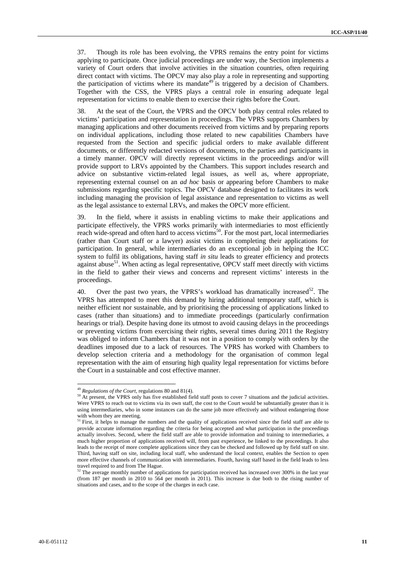37. Though its role has been evolving, the VPRS remains the entry point for victims applying to participate. Once judicial proceedings are under way, the Section implements a variety of Court orders that involve activities in the situation countries, often requiring direct contact with victims. The OPCV may also play a role in representing and supporting the participation of victims where its mandate<sup>49</sup> is triggered by a decision of Chambers. Together with the CSS, the VPRS plays a central role in ensuring adequate legal representation for victims to enable them to exercise their rights before the Court.

38. At the seat of the Court, the VPRS and the OPCV both play central roles related to victims' participation and representation in proceedings. The VPRS supports Chambers by managing applications and other documents received from victims and by preparing reports on individual applications, including those related to new capabilities Chambers have requested from the Section and specific judicial orders to make available different documents, or differently redacted versions of documents, to the parties and participants in a timely manner. OPCV will directly represent victims in the proceedings and/or will provide support to LRVs appointed by the Chambers. This support includes research and advice on substantive victim-related legal issues, as well as, where appropriate, representing external counsel on an *ad hoc* basis or appearing before Chambers to make submissions regarding specific topics. The OPCV database designed to facilitates its work including managing the provision of legal assistance and representation to victims as well as the legal assistance to external LRVs, and makes the OPCV more efficient.

39. In the field, where it assists in enabling victims to make their applications and participate effectively, the VPRS works primarily with intermediaries to most efficiently reach wide-spread and often hard to access victims<sup>50</sup>. For the most part, local intermediaries (rather than Court staff or a lawyer) assist victims in completing their applications for participation. In general, while intermediaries do an exceptional job in helping the ICC system to fulfil its obligations, having staff *in situ* leads to greater efficiency and protects against abuse<sup>51</sup>. When acting as legal representative, OPCV staff meet directly with victims in the field to gather their views and concerns and represent victims' interests in the proceedings.

40. Over the past two years, the VPRS's workload has dramatically increased<sup>52</sup>. The VPRS has attempted to meet this demand by hiring additional temporary staff, which is neither efficient nor sustainable, and by prioritising the processing of applications linked to cases (rather than situations) and to immediate proceedings (particularly confirmation hearings or trial). Despite having done its utmost to avoid causing delays in the proceedings or preventing victims from exercising their rights, several times during 2011 the Registry was obliged to inform Chambers that it was not in a position to comply with orders by the deadlines imposed due to a lack of resources. The VPRS has worked with Chambers to develop selection criteria and a methodology for the organisation of common legal representation with the aim of ensuring high quality legal representation for victims before the Court in a sustainable and cost effective manner.

<sup>&</sup>lt;sup>49</sup> *Regulations of the Court*, regulations 80 and 81(4).  $50$  At present, the VPRS only has five established field staff posts to cover 7 situations and the judicial activities. Were VPRS to reach out to victims via its own staff, the cost to the Court would be substantially greater than it is using intermediaries, who in some instances can do the same job more effectively and without endangering those with whom they are meeting.

<sup>&</sup>lt;sup>51</sup> First, it helps to manage the numbers and the quality of applications received since the field staff are able to provide accurate information regarding the criteria for being accepted and what participation in the proceedings actually involves. Second, where the field staff are able to provide information and training to intermediaries, a much higher proportion of applications received will, from past experience, be linked to the proceedings. It also leads to the receipt of more complete applications since they can be checked and followed up by field staff on site. Third, having staff on site, including local staff, who understand the local context, enables the Section to open more effective channels of communication with intermediaries. Fourth, having staff based in the field leads to less travel required to and from The Hague.

 $52$  The average monthly number of applications for participation received has increased over 300% in the last year (from 187 per month in 2010 to 564 per month in 2011). This increase is due both to the rising number of situations and cases, and to the scope of the charges in each case.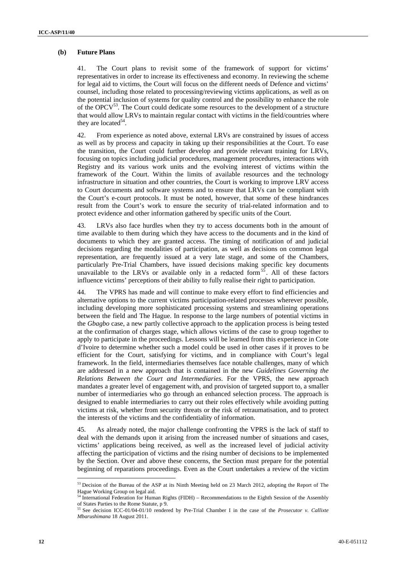#### **(b) Future Plans**

41. The Court plans to revisit some of the framework of support for victims' representatives in order to increase its effectiveness and economy. In reviewing the scheme for legal aid to victims, the Court will focus on the different needs of Defence and victims' counsel, including those related to processing/reviewing victims applications, as well as on the potential inclusion of systems for quality control and the possibility to enhance the role of the OPCV<sup>53</sup>. The Court could dedicate some resources to the development of a structure that would allow LRVs to maintain regular contact with victims in the field/countries where they are located $54$ .

42. From experience as noted above, external LRVs are constrained by issues of access as well as by process and capacity in taking up their responsibilities at the Court. To ease the transition, the Court could further develop and provide relevant training for LRVs, focusing on topics including judicial procedures, management procedures, interactions with Registry and its various work units and the evolving interest of victims within the framework of the Court. Within the limits of available resources and the technology infrastructure in situation and other countries, the Court is working to improve LRV access to Court documents and software systems and to ensure that LRVs can be compliant with the Court's e-court protocols. It must be noted, however, that some of these hindrances result from the Court's work to ensure the security of trial-related information and to protect evidence and other information gathered by specific units of the Court.

43. LRVs also face hurdles when they try to access documents both in the amount of time available to them during which they have access to the documents and in the kind of documents to which they are granted access. The timing of notification of and judicial decisions regarding the modalities of participation, as well as decisions on common legal representation, are frequently issued at a very late stage, and some of the Chambers, particularly Pre-Trial Chambers, have issued decisions making specific key documents unavailable to the LRVs or available only in a redacted form<sup>55</sup>. All of these factors influence victims' perceptions of their ability to fully realise their right to participation.

44. The VPRS has made and will continue to make every effort to find efficiencies and alternative options to the current victims participation-related processes wherever possible, including developing more sophisticated processing systems and streamlining operations between the field and The Hague. In response to the large numbers of potential victims in the *Gbagbo* case, a new partly collective approach to the application process is being tested at the confirmation of charges stage, which allows victims of the case to group together to apply to participate in the proceedings. Lessons will be learned from this experience in Cote d'Ivoire to determine whether such a model could be used in other cases if it proves to be efficient for the Court, satisfying for victims, and in compliance with Court's legal framework. In the field, intermediaries themselves face notable challenges, many of which are addressed in a new approach that is contained in the new *Guidelines Governing the Relations Between the Court and Intermediaries*. For the VPRS, the new approach mandates a greater level of engagement with, and provision of targeted support to, a smaller number of intermediaries who go through an enhanced selection process. The approach is designed to enable intermediaries to carry out their roles effectively while avoiding putting victims at risk, whether from security threats or the risk of retraumatisation, and to protect the interests of the victims and the confidentiality of information.

45. As already noted, the major challenge confronting the VPRS is the lack of staff to deal with the demands upon it arising from the increased number of situations and cases, victims' applications being received, as well as the increased level of judicial activity affecting the participation of victims and the rising number of decisions to be implemented by the Section. Over and above these concerns, the Section must prepare for the potential beginning of reparations proceedings. Even as the Court undertakes a review of the victim

<sup>&</sup>lt;sup>53</sup> Decision of the Bureau of the ASP at its Ninth Meeting held on 23 March 2012, adopting the Report of The Hague Working Group on legal aid.

<sup>&</sup>lt;sup>54</sup> International Federation for Human Rights (FIDH) – Recommendations to the Eighth Session of the Assembly of States Parties to the Rome Statute, p 9.

<sup>55</sup> See decision ICC-01/04-01/10 rendered by Pre-Trial Chamber I in the case of the *Prosecutor v. Callixte Mbarushimana* 18 August 2011.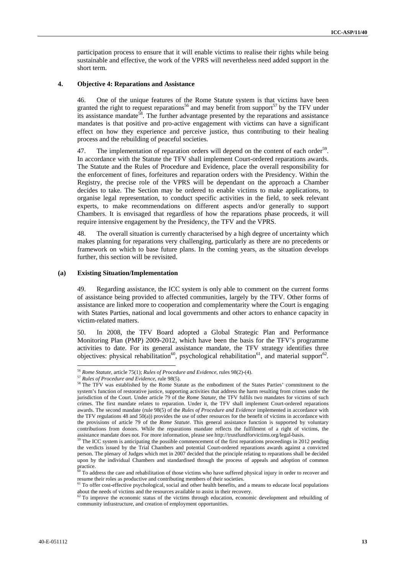participation process to ensure that it will enable victims to realise their rights while being sustainable and effective, the work of the VPRS will nevertheless need added support in the short term.

#### **4. Objective 4: Reparations and Assistance**

46. One of the unique features of the Rome Statute system is that victims have been granted the right to request reparations<sup>56</sup> and may benefit from support<sup>57</sup> by the TFV under its assistance mandate<sup>58</sup>. The further advantage presented by the reparations and assistance mandates is that positive and pro-active engagement with victims can have a significant effect on how they experience and perceive justice, thus contributing to their healing process and the rebuilding of peaceful societies.

The implementation of reparation orders will depend on the content of each order<sup>59</sup>. In accordance with the Statute the TFV shall implement Court-ordered reparations awards. The Statute and the Rules of Procedure and Evidence, place the overall responsibility for the enforcement of fines, forfeitures and reparation orders with the Presidency. Within the Registry, the precise role of the VPRS will be dependant on the approach a Chamber decides to take. The Section may be ordered to enable victims to make applications, to organise legal representation, to conduct specific activities in the field, to seek relevant experts, to make recommendations on different aspects and/or generally to support Chambers. It is envisaged that regardless of how the reparations phase proceeds, it will require intensive engagement by the Presidency, the TFV and the VPRS.

48. The overall situation is currently characterised by a high degree of uncertainty which makes planning for reparations very challenging, particularly as there are no precedents or framework on which to base future plans. In the coming years, as the situation develops further, this section will be revisited.

#### **(a) Existing Situation/Implementation**

49. Regarding assistance, the ICC system is only able to comment on the current forms of assistance being provided to affected communities, largely by the TFV. Other forms of assistance are linked more to cooperation and complementarity where the Court is engaging with States Parties, national and local governments and other actors to enhance capacity in victim-related matters.

50. In 2008, the TFV Board adopted a Global Strategic Plan and Performance Monitoring Plan (PMP) 2009-2012, which have been the basis for the TFV's programme activities to date. For its general assistance mandate, the TFV strategy identifies three objectives: physical rehabilitation<sup>60</sup>, psychological rehabilitation<sup>61</sup>, and material support<sup>62</sup>.

<sup>&</sup>lt;sup>56</sup> Rome Statute, article 75(1); Rules of Procedure and Evidence, rules 98(2)-(4).

<sup>&</sup>lt;sup>57</sup> Rules of Procedure and Evidence, rule 98(5).<br><sup>58</sup> The TFV was established by the Rome Statute as the embodiment of the States Parties' commitment to the system's function of restorative justice, supporting activities that address the harm resulting from crimes under the jurisdiction of the Court. Under article 79 of the *Rome Statute*, the TFV fulfils two mandates for victims of such crimes. The first mandate relates to reparation. Under it, the TFV shall implement Court-ordered reparations awards. The second mandate (rule 98(5) of the *Rules of Procedure and Evidence* implemented in accordance with the TFV regulations 48 and 50(a)) provides the use of other resources for the benefit of victims in accordance with the provisions of article 79 of the *Rome Statute.* This general assistance function is supported by voluntary contributions from donors. While the reparations mandate reflects the fulfilment of a right of victims, the

assistance mandate does not. For more information, please see http://trustfundforvictims.org/legal-basis. <sup>59</sup> The ICC system is anticipating the possible commencement of the first reparations proceedings in 2012 pending the verdicts issued by the Trial Chambers and potential Court-ordered reparations awards against a convicted person. The plenary of Judges which met in 2007 decided that the principle relating to reparations shall be decided upon by the individual Chambers and standardised through the process of appeals and adoption of common practice.

 $60$  To address the care and rehabilitation of those victims who have suffered physical injury in order to recover and

<sup>&</sup>lt;sup>61</sup> To offer cost-effective psychological, social and other health benefits, and a means to educate local populations about the needs of victims and the resources available to assist in their recovery.

 $\alpha^2$  To improve the economic status of the victims through education, economic development and rebuilding of community infrastructure, and creation of employment opportunities.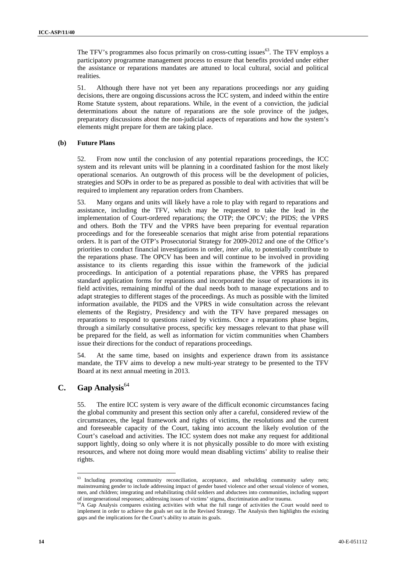The TFV's programmes also focus primarily on cross-cutting issues<sup>63</sup>. The TFV employs a participatory programme management process to ensure that benefits provided under either the assistance or reparations mandates are attuned to local cultural, social and political realities.

51. Although there have not yet been any reparations proceedings nor any guiding decisions, there are ongoing discussions across the ICC system, and indeed within the entire Rome Statute system, about reparations. While, in the event of a conviction, the judicial determinations about the nature of reparations are the sole province of the judges, preparatory discussions about the non-judicial aspects of reparations and how the system's elements might prepare for them are taking place.

#### **(b) Future Plans**

52. From now until the conclusion of any potential reparations proceedings, the ICC system and its relevant units will be planning in a coordinated fashion for the most likely operational scenarios. An outgrowth of this process will be the development of policies, strategies and SOPs in order to be as prepared as possible to deal with activities that will be required to implement any reparation orders from Chambers.

53. Many organs and units will likely have a role to play with regard to reparations and assistance, including the TFV, which may be requested to take the lead in the implementation of Court-ordered reparations; the OTP; the OPCV; the PIDS; the VPRS and others. Both the TFV and the VPRS have been preparing for eventual reparation proceedings and for the foreseeable scenarios that might arise from potential reparations orders. It is part of the OTP's Prosecutorial Strategy for 2009-2012 and one of the Office's priorities to conduct financial investigations in order, *inter alia,* to potentially contribute to the reparations phase. The OPCV has been and will continue to be involved in providing assistance to its clients regarding this issue within the framework of the judicial proceedings. In anticipation of a potential reparations phase, the VPRS has prepared standard application forms for reparations and incorporated the issue of reparations in its field activities, remaining mindful of the dual needs both to manage expectations and to adapt strategies to different stages of the proceedings. As much as possible with the limited information available, the PIDS and the VPRS in wide consultation across the relevant elements of the Registry, Presidency and with the TFV have prepared messages on reparations to respond to questions raised by victims. Once a reparations phase begins, through a similarly consultative process, specific key messages relevant to that phase will be prepared for the field, as well as information for victim communities when Chambers issue their directions for the conduct of reparations proceedings.

54. At the same time, based on insights and experience drawn from its assistance mandate, the TFV aims to develop a new multi-year strategy to be presented to the TFV Board at its next annual meeting in 2013.

### **C. Gap Analysis**<sup>64</sup>

 $\overline{a}$ 

55. The entire ICC system is very aware of the difficult economic circumstances facing the global community and present this section only after a careful, considered review of the circumstances, the legal framework and rights of victims, the resolutions and the current and foreseeable capacity of the Court, taking into account the likely evolution of the Court's caseload and activities. The ICC system does not make any request for additional support lightly, doing so only where it is not physically possible to do more with existing resources, and where not doing more would mean disabling victims' ability to realise their rights.

 $63$  Including promoting community reconciliation, acceptance, and rebuilding community safety nets; mainstreaming gender to include addressing impact of gender based violence and other sexual violence of women, men, and children; integrating and rehabilitating child soldiers and abductees into communities, including support of intergenerational responses; addressing issues of victims' stigma, discrimination and/or trauma. 64A Gap Analysis compares existing activities with what the full range of activities the Court would need to

implement in order to achieve the goals set out in the Revised Strategy. The Analysis then highlights the existing gaps and the implications for the Court's ability to attain its goals.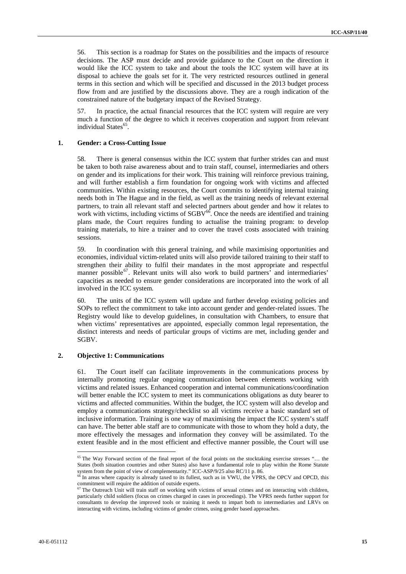56. This section is a roadmap for States on the possibilities and the impacts of resource decisions. The ASP must decide and provide guidance to the Court on the direction it would like the ICC system to take and about the tools the ICC system will have at its disposal to achieve the goals set for it. The very restricted resources outlined in general terms in this section and which will be specified and discussed in the 2013 budget process flow from and are justified by the discussions above. They are a rough indication of the constrained nature of the budgetary impact of the Revised Strategy.

57. In practice, the actual financial resources that the ICC system will require are very much a function of the degree to which it receives cooperation and support from relevant individual States<sup>65</sup>.

#### **1. Gender: a Cross-Cutting Issue**

58. There is general consensus within the ICC system that further strides can and must be taken to both raise awareness about and to train staff, counsel, intermediaries and others on gender and its implications for their work. This training will reinforce previous training, and will further establish a firm foundation for ongoing work with victims and affected communities. Within existing resources, the Court commits to identifying internal training needs both in The Hague and in the field, as well as the training needs of relevant external partners, to train all relevant staff and selected partners about gender and how it relates to work with victims, including victims of  $SGBV^{66}$ . Once the needs are identified and training plans made, the Court requires funding to actualise the training program: to develop training materials, to hire a trainer and to cover the travel costs associated with training sessions.

59. In coordination with this general training, and while maximising opportunities and economies, individual victim-related units will also provide tailored training to their staff to strengthen their ability to fulfil their mandates in the most appropriate and respectful manner possible<sup>67</sup>. Relevant units will also work to build partners' and intermediaries' capacities as needed to ensure gender considerations are incorporated into the work of all involved in the ICC system.

60. The units of the ICC system will update and further develop existing policies and SOPs to reflect the commitment to take into account gender and gender-related issues. The Registry would like to develop guidelines, in consultation with Chambers, to ensure that when victims' representatives are appointed, especially common legal representation, the distinct interests and needs of particular groups of victims are met, including gender and SGBV.

#### **2. Objective 1: Communications**

61. The Court itself can facilitate improvements in the communications process by internally promoting regular ongoing communication between elements working with victims and related issues. Enhanced cooperation and internal communications/coordination will better enable the ICC system to meet its communications obligations as duty bearer to victims and affected communities. Within the budget, the ICC system will also develop and employ a communications strategy/checklist so all victims receive a basic standard set of inclusive information. Training is one way of maximising the impact the ICC system's staff can have. The better able staff are to communicate with those to whom they hold a duty, the more effectively the messages and information they convey will be assimilated. To the extent feasible and in the most efficient and effective manner possible, the Court will use

<sup>&</sup>lt;sup>65</sup> The Way Forward section of the final report of the focal points on the stocktaking exercise stresses "... the States (both situation countries and other States) also have a fundamental role to play within the Rome Statute system from the point of view of complementarity." ICC-ASP/9/25 also RC/11 p. 86.<br><sup>66</sup> In areas where capacity is already taxed to its fullest, such as in VWU, the VPRS, the OPCV and OPCD, this

commitment will require the addition of outside experts.

 $67$  The Outreach Unit will train staff on working with victims of sexual crimes and on interacting with children, particularly child soldiers (focus on crimes charged in cases in proceedings). The VPRS needs further support for consultants to develop the improved tools or training it needs to impart both to intermediaries and LRVs on interacting with victims, including victims of gender crimes, using gender based approaches.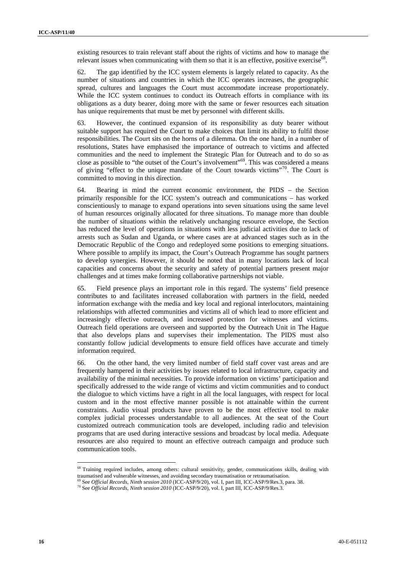existing resources to train relevant staff about the rights of victims and how to manage the relevant issues when communicating with them so that it is an effective, positive exercise<sup>68</sup>.

62. The gap identified by the ICC system elements is largely related to capacity. As the number of situations and countries in which the ICC operates increases, the geographic spread, cultures and languages the Court must accommodate increase proportionately. While the ICC system continues to conduct its Outreach efforts in compliance with its obligations as a duty bearer, doing more with the same or fewer resources each situation has unique requirements that must be met by personnel with different skills.

63. However, the continued expansion of its responsibility as duty bearer without suitable support has required the Court to make choices that limit its ability to fulfil those responsibilities. The Court sits on the horns of a dilemma. On the one hand, in a number of resolutions, States have emphasised the importance of outreach to victims and affected communities and the need to implement the Strategic Plan for Outreach and to do so as close as possible to "the outset of the Court's involvement"69. This was considered a means of giving "effect to the unique mandate of the Court towards victims"<sup>70</sup>. The Court is committed to moving in this direction.

64. Bearing in mind the current economic environment, the PIDS – the Section primarily responsible for the ICC system's outreach and communications – has worked conscientiously to manage to expand operations into seven situations using the same level of human resources originally allocated for three situations. To manage more than double the number of situations within the relatively unchanging resource envelope, the Section has reduced the level of operations in situations with less judicial activities due to lack of arrests such as Sudan and Uganda, or where cases are at advanced stages such as in the Democratic Republic of the Congo and redeployed some positions to emerging situations. Where possible to amplify its impact, the Court's Outreach Programme has sought partners to develop synergies. However, it should be noted that in many locations lack of local capacities and concerns about the security and safety of potential partners present major challenges and at times make forming collaborative partnerships not viable.

65. Field presence plays an important role in this regard. The systems' field presence contributes to and facilitates increased collaboration with partners in the field, needed information exchange with the media and key local and regional interlocutors, maintaining relationships with affected communities and victims all of which lead to more efficient and increasingly effective outreach, and increased protection for witnesses and victims. Outreach field operations are overseen and supported by the Outreach Unit in The Hague that also develops plans and supervises their implementation. The PIDS must also constantly follow judicial developments to ensure field offices have accurate and timely information required.

66. On the other hand, the very limited number of field staff cover vast areas and are frequently hampered in their activities by issues related to local infrastructure, capacity and availability of the minimal necessities. To provide information on victims' participation and specifically addressed to the wide range of victims and victim communities and to conduct the dialogue to which victims have a right in all the local languages, with respect for local custom and in the most effective manner possible is not attainable within the current constraints. Audio visual products have proven to be the most effective tool to make complex judicial processes understandable to all audiences. At the seat of the Court customized outreach communication tools are developed, including radio and television programs that are used during interactive sessions and broadcast by local media. Adequate resources are also required to mount an effective outreach campaign and produce such communication tools.

<sup>68</sup> Training required includes, among others: cultural sensitivity, gender, communications skills, dealing with

traumatised and vulnerable witnesses, and avoiding secondary traumatisation or retraumatisation.<br><sup>69</sup> See *Official Records, Ninth session 2010* (ICC-ASP/9/20), vol. I, part III, ICC-ASP/9/Res.3, para. 38.<br><sup>70</sup> See *Offic*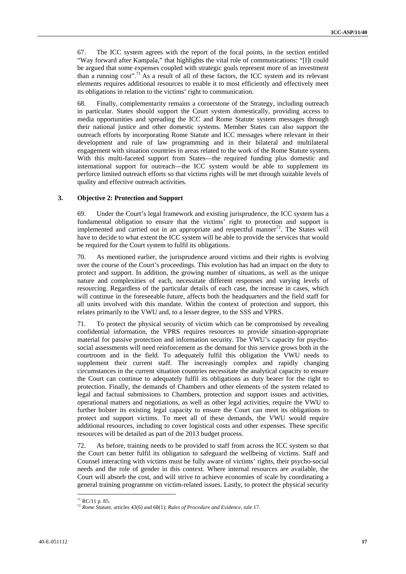67. The ICC system agrees with the report of the focal points, in the section entitled "Way forward after Kampala," that highlights the vital role of communications: "[I]t could be argued that some expenses coupled with strategic goals represent more of an investment than a running cost".<sup>71</sup> As a result of all of these factors, the ICC system and its relevant elements requires additional resources to enable it to most efficiently and effectively meet its obligations in relation to the victims' right to communication.

68. Finally, complementarity remains a cornerstone of the Strategy, including outreach in particular. States should support the Court system domestically, providing access to media opportunities and spreading the ICC and Rome Statute system messages through their national justice and other domestic systems. Member States can also support the outreach efforts by incorporating Rome Statute and ICC messages where relevant in their development and rule of law programming and in their bilateral and multilateral engagement with situation countries in areas related to the work of the Rome Statute system. With this multi-faceted support from States—the required funding plus domestic and international support for outreach—the ICC system would be able to supplement its perforce limited outreach efforts so that victims rights will be met through suitable levels of quality and effective outreach activities.

#### **3. Objective 2: Protection and Support**

69. Under the Court's legal framework and existing jurisprudence, the ICC system has a fundamental obligation to ensure that the victims' right to protection and support is implemented and carried out in an appropriate and respectful manner $^{72}$ . The States will have to decide to what extent the ICC system will be able to provide the services that would be required for the Court system to fulfil its obligations.

70. As mentioned earlier, the jurisprudence around victims and their rights is evolving over the course of the Court's proceedings. This evolution has had an impact on the duty to protect and support. In addition, the growing number of situations, as well as the unique nature and complexities of each, necessitate different responses and varying levels of resourcing. Regardless of the particular details of each case, the increase in cases, which will continue in the foreseeable future, affects both the headquarters and the field staff for all units involved with this mandate. Within the context of protection and support, this relates primarily to the VWU and, to a lesser degree, to the SSS and VPRS.

71. To protect the physical security of victim which can be compromised by revealing confidential information, the VPRS requires resources to provide situation-appropriate material for passive protection and information security. The VWU's capacity for psychosocial assessments will need reinforcement as the demand for this service grows both in the courtroom and in the field. To adequately fulfil this obligation the VWU needs to supplement their current staff. The increasingly complex and rapidly changing circumstances in the current situation countries necessitate the analytical capacity to ensure the Court can continue to adequately fulfil its obligations as duty bearer for the right to protection. Finally, the demands of Chambers and other elements of the system related to legal and factual submissions to Chambers, protection and support issues and activities, operational matters and negotiations, as well as other legal activities, require the VWU to further bolster its existing legal capacity to ensure the Court can meet its obligations to protect and support victims. To meet all of these demands, the VWU would require additional resources, including to cover logistical costs and other expenses. These specific resources will be detailed as part of the 2013 budget process.

72. As before, training needs to be provided to staff from across the ICC system so that the Court can better fulfil its obligation to safeguard the wellbeing of victims. Staff and Counsel interacting with victims must be fully aware of victims' rights, their psycho-social needs and the role of gender in this context. Where internal resources are available, the Court will absorb the cost, and will strive to achieve economies of scale by coordinating a general training programme on victim-related issues. Lastly, to protect the physical security

 $71$  RC/11 p. 85.

<sup>72</sup> *Rome Statute*, articles 43(6) and 68(1); *Rules of Procedure and Evidence*, rule 17.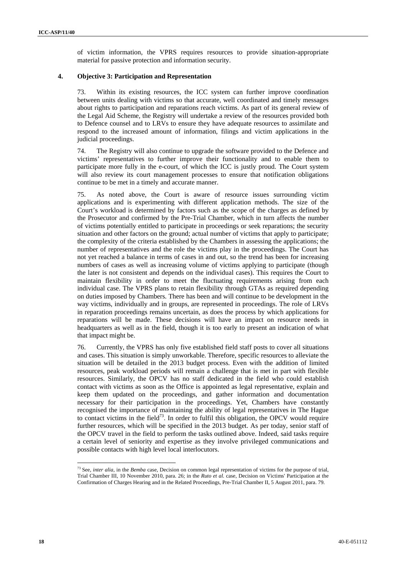of victim information, the VPRS requires resources to provide situation-appropriate material for passive protection and information security.

#### **4. Objective 3: Participation and Representation**

73. Within its existing resources, the ICC system can further improve coordination between units dealing with victims so that accurate, well coordinated and timely messages about rights to participation and reparations reach victims. As part of its general review of the Legal Aid Scheme, the Registry will undertake a review of the resources provided both to Defence counsel and to LRVs to ensure they have adequate resources to assimilate and respond to the increased amount of information, filings and victim applications in the judicial proceedings.

74. The Registry will also continue to upgrade the software provided to the Defence and victims' representatives to further improve their functionality and to enable them to participate more fully in the e-court, of which the ICC is justly proud. The Court system will also review its court management processes to ensure that notification obligations continue to be met in a timely and accurate manner.

75. As noted above, the Court is aware of resource issues surrounding victim applications and is experimenting with different application methods. The size of the Court's workload is determined by factors such as the scope of the charges as defined by the Prosecutor and confirmed by the Pre-Trial Chamber, which in turn affects the number of victims potentially entitled to participate in proceedings or seek reparations; the security situation and other factors on the ground; actual number of victims that apply to participate; the complexity of the criteria established by the Chambers in assessing the applications; the number of representatives and the role the victims play in the proceedings. The Court has not yet reached a balance in terms of cases in and out, so the trend has been for increasing numbers of cases as well as increasing volume of victims applying to participate (though the later is not consistent and depends on the individual cases). This requires the Court to maintain flexibility in order to meet the fluctuating requirements arising from each individual case. The VPRS plans to retain flexibility through GTAs as required depending on duties imposed by Chambers. There has been and will continue to be development in the way victims, individually and in groups, are represented in proceedings. The role of LRVs in reparation proceedings remains uncertain, as does the process by which applications for reparations will be made. These decisions will have an impact on resource needs in headquarters as well as in the field, though it is too early to present an indication of what that impact might be.

76. Currently, the VPRS has only five established field staff posts to cover all situations and cases. This situation is simply unworkable. Therefore, specific resources to alleviate the situation will be detailed in the 2013 budget process. Even with the addition of limited resources, peak workload periods will remain a challenge that is met in part with flexible resources. Similarly, the OPCV has no staff dedicated in the field who could establish contact with victims as soon as the Office is appointed as legal representative, explain and keep them updated on the proceedings, and gather information and documentation necessary for their participation in the proceedings. Yet, Chambers have constantly recognised the importance of maintaining the ability of legal representatives in The Hague to contact victims in the field<sup>73</sup>. In order to fulfil this obligation, the OPCV would require further resources, which will be specified in the 2013 budget. As per today, senior staff of the OPCV travel in the field to perform the tasks outlined above. Indeed, said tasks require a certain level of seniority and expertise as they involve privileged communications and possible contacts with high level local interlocutors.

 $\overline{a}$ <sup>73</sup> See, *inter alia*, in the *Bemba* case, Decision on common legal representation of victims for the purpose of trial, Trial Chamber III, 10 November 2010, para. 26; in the *Ruto et al.* case, Decision on Victims' Participation at the Confirmation of Charges Hearing and in the Related Proceedings, Pre-Trial Chamber II, 5 August 2011, para. 79.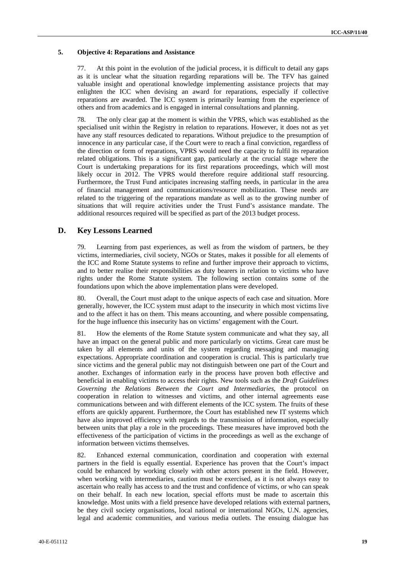#### **5. Objective 4: Reparations and Assistance**

77. At this point in the evolution of the judicial process, it is difficult to detail any gaps as it is unclear what the situation regarding reparations will be. The TFV has gained valuable insight and operational knowledge implementing assistance projects that may enlighten the ICC when devising an award for reparations, especially if collective reparations are awarded. The ICC system is primarily learning from the experience of others and from academics and is engaged in internal consultations and planning.

78. The only clear gap at the moment is within the VPRS, which was established as the specialised unit within the Registry in relation to reparations. However, it does not as yet have any staff resources dedicated to reparations. Without prejudice to the presumption of innocence in any particular case, if the Court were to reach a final conviction, regardless of the direction or form of reparations, VPRS would need the capacity to fulfil its reparation related obligations. This is a significant gap, particularly at the crucial stage where the Court is undertaking preparations for its first reparations proceedings, which will most likely occur in 2012. The VPRS would therefore require additional staff resourcing. Furthermore, the Trust Fund anticipates increasing staffing needs, in particular in the area of financial management and communications/resource mobilization. These needs are related to the triggering of the reparations mandate as well as to the growing number of situations that will require activities under the Trust Fund's assistance mandate. The additional resources required will be specified as part of the 2013 budget process.

### **D. Key Lessons Learned**

79. Learning from past experiences, as well as from the wisdom of partners, be they victims, intermediaries, civil society, NGOs or States, makes it possible for all elements of the ICC and Rome Statute systems to refine and further improve their approach to victims, and to better realise their responsibilities as duty bearers in relation to victims who have rights under the Rome Statute system. The following section contains some of the foundations upon which the above implementation plans were developed.

80. Overall, the Court must adapt to the unique aspects of each case and situation. More generally, however, the ICC system must adapt to the insecurity in which most victims live and to the affect it has on them. This means accounting, and where possible compensating, for the huge influence this insecurity has on victims' engagement with the Court.

81. How the elements of the Rome Statute system communicate and what they say, all have an impact on the general public and more particularly on victims. Great care must be taken by all elements and units of the system regarding messaging and managing expectations. Appropriate coordination and cooperation is crucial. This is particularly true since victims and the general public may not distinguish between one part of the Court and another. Exchanges of information early in the process have proven both effective and beneficial in enabling victims to access their rights. New tools such as the *Draft Guidelines Governing the Relations Between the Court and Intermediaries*, the protocol on cooperation in relation to witnesses and victims, and other internal agreements ease communications between and with different elements of the ICC system. The fruits of these efforts are quickly apparent. Furthermore, the Court has established new IT systems which have also improved efficiency with regards to the transmission of information, especially between units that play a role in the proceedings. These measures have improved both the effectiveness of the participation of victims in the proceedings as well as the exchange of information between victims themselves.

82. Enhanced external communication, coordination and cooperation with external partners in the field is equally essential. Experience has proven that the Court's impact could be enhanced by working closely with other actors present in the field. However, when working with intermediaries, caution must be exercised, as it is not always easy to ascertain who really has access to and the trust and confidence of victims, or who can speak on their behalf. In each new location, special efforts must be made to ascertain this knowledge. Most units with a field presence have developed relations with external partners, be they civil society organisations, local national or international NGOs, U.N. agencies, legal and academic communities, and various media outlets. The ensuing dialogue has